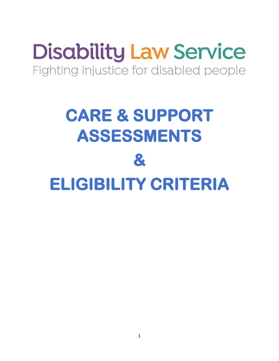# **Disability Law Service** Fighting injustice for disabled people

# **CARE & SUPPORT ASSESSMENTS & ELIGIBILITY CRITERIA**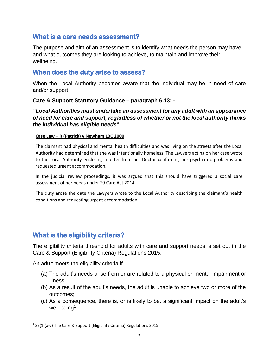#### **What is a care needs assessment?**

The purpose and aim of an assessment is to identify what needs the person may have and what outcomes they are looking to achieve, to maintain and improve their wellbeing.

### **When does the duty arise to assess?**

When the Local Authority becomes aware that the individual may be in need of care and/or support.

#### **Care & Support Statutory Guidance – paragraph 6.13: -**

*"Local Authorities must undertake an assessment for any adult with an appearance of need for care and support, regardless of whether or not the local authority thinks the individual has eligible needs"*

#### **Case Law – R (Patrick) v Newham LBC 2000**

The claimant had physical and mental health difficulties and was living on the streets after the Local Authority had determined that she was intentionally homeless. The Lawyers acting on her case wrote to the Local Authority enclosing a letter from her Doctor confirming her psychiatric problems and requested urgent accommodation.

In the judicial review proceedings, it was argued that this should have triggered a social care assessment of her needs under S9 Care Act 2014.

The duty arose the date the Lawyers wrote to the Local Authority describing the claimant's health conditions and requesting urgent accommodation.

# **What is the eligibility criteria?**

The eligibility criteria threshold for adults with care and support needs is set out in the Care & Support (Eligibility Criteria) Regulations 2015.

An adult meets the eligibility criteria if –

- (a) The adult's needs arise from or are related to a physical or mental impairment or illness;
- (b) As a result of the adult's needs, the adult is unable to achieve two or more of the outcomes;
- (c) As a consequence, there is, or is likely to be, a significant impact on the adult's well-being<sup>1</sup>.

<sup>&</sup>lt;sup>1</sup> S2(1)(a-c) The Care & Support (Eligibility Criteria) Regulations 2015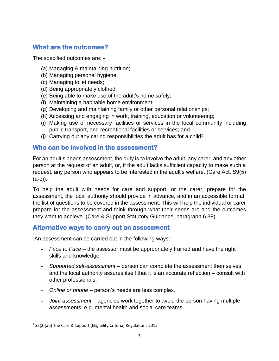# **What are the outcomes?**

The specified outcomes are: -

- (a) Managing & maintaining nutrition;
- (b) Managing personal hygiene;
- (c) Managing toilet needs;
- (d) Being appropriately clothed;
- (e) Being able to make use of the adult's home safely;
- (f) Maintaining a habitable home environment;
- (g) Developing and maintaining family or other personal relationships;
- (h) Accessing and engaging in work, training, education or volunteering;
- (i) Making use of necessary facilities or services in the local community including public transport, and recreational facilities or services; and
- (j) Carrying out any caring responsibilities the adult has for a child<sup>2</sup>.

#### **Who can be involved in the assessment?**

For an adult's needs assessment, the duty is to involve the adult, any carer, and any other person at the request of an adult, or, if the adult lacks sufficient capacity to make such a request, any person who appears to be interested in the adult's welfare. (Care Act, S9(5) (a-c)).

To help the adult with needs for care and support, or the carer, prepare for the assessment, the local authority should provide in advance, and in an accessible format, the list of questions to be covered in the assessment. This will help the individual or carer prepare for the assessment and think through what their needs are and the outcomes they want to achieve. (Care & Support Statutory Guidance, paragraph 6.38).

#### **Alternative ways to carry out an assessment**

An assessment can be carried out in the following ways: -

- *Face to Face*  the assessor must be appropriately trained and have the right skills and knowledge.
- *Supported self-assessment*  person can complete the assessment themselves and the local authority assures itself that it is an accurate reflection – consult with other professionals.
- *Online or phone*  person's needs are less complex.
- *Joint assessment*  agencies work together to avoid the person having multiple assessments, e.g. mental health and social care teams.

 $2$  S2(2)(a-j) The Care & Support (Eligibility Criteria) Regulations 2015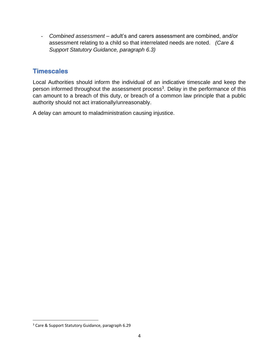- *Combined assessment* – adult's and carers assessment are combined, and/or assessment relating to a child so that interrelated needs are noted. *(Care & Support Statutory Guidance, paragraph 6.3)* 

## **Timescales**

Local Authorities should inform the individual of an indicative timescale and keep the person informed throughout the assessment process<sup>3</sup>. Delay in the performance of this can amount to a breach of this duty, or breach of a common law principle that a public authority should not act irrationally/unreasonably.

A delay can amount to maladministration causing injustice.

<sup>3</sup> Care & Support Statutory Guidance, paragraph 6.29